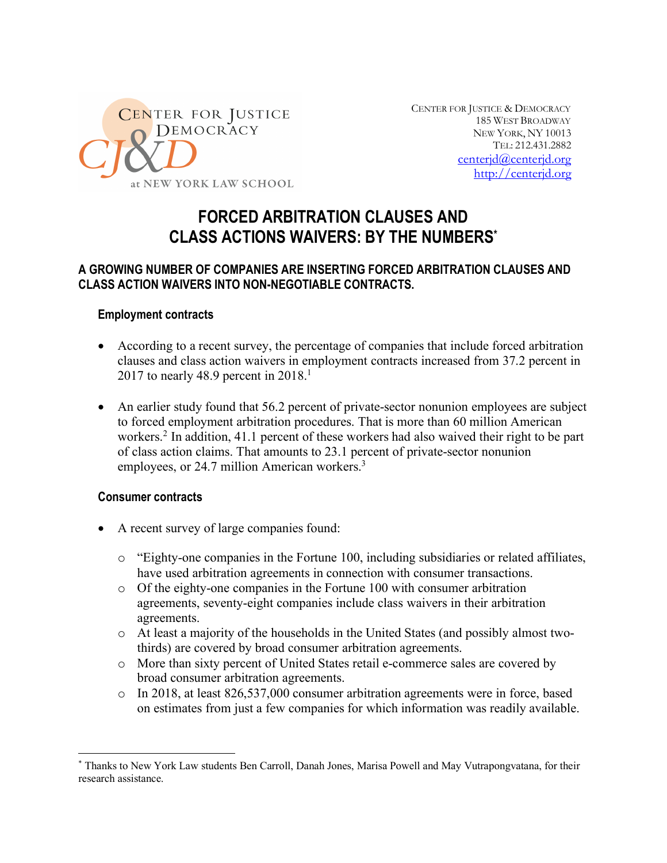

CENTER FOR JUSTICE & DEMOCRACY 185 WEST BROADWAY NEW YORK, NY 10013 TEL: 212.431.2882 centerjd@centerjd.org http://centerjd.org

# **FORCED ARBITRATION CLAUSES AND CLASS ACTIONS WAIVERS: BY THE NUMBERS\***

# **A GROWING NUMBER OF COMPANIES ARE INSERTING FORCED ARBITRATION CLAUSES AND CLASS ACTION WAIVERS INTO NON-NEGOTIABLE CONTRACTS.**

## **Employment contracts**

- According to a recent survey, the percentage of companies that include forced arbitration clauses and class action waivers in employment contracts increased from 37.2 percent in 2017 to nearly 48.9 percent in  $2018<sup>1</sup>$
- An earlier study found that 56.2 percent of private-sector nonunion employees are subject to forced employment arbitration procedures. That is more than 60 million American workers.<sup>2</sup> In addition, 41.1 percent of these workers had also waived their right to be part of class action claims. That amounts to 23.1 percent of private-sector nonunion employees, or 24.7 million American workers.<sup>3</sup>

#### **Consumer contracts**

- A recent survey of large companies found:
	- $\circ$  "Eighty-one companies in the Fortune 100, including subsidiaries or related affiliates, have used arbitration agreements in connection with consumer transactions.
	- o Of the eighty-one companies in the Fortune 100 with consumer arbitration agreements, seventy-eight companies include class waivers in their arbitration agreements.
	- o At least a majority of the households in the United States (and possibly almost twothirds) are covered by broad consumer arbitration agreements.
	- o More than sixty percent of United States retail e-commerce sales are covered by broad consumer arbitration agreements.
	- o In 2018, at least 826,537,000 consumer arbitration agreements were in force, based on estimates from just a few companies for which information was readily available.

 <sup>\*</sup> Thanks to New York Law students Ben Carroll, Danah Jones, Marisa Powell and May Vutrapongvatana, for their research assistance.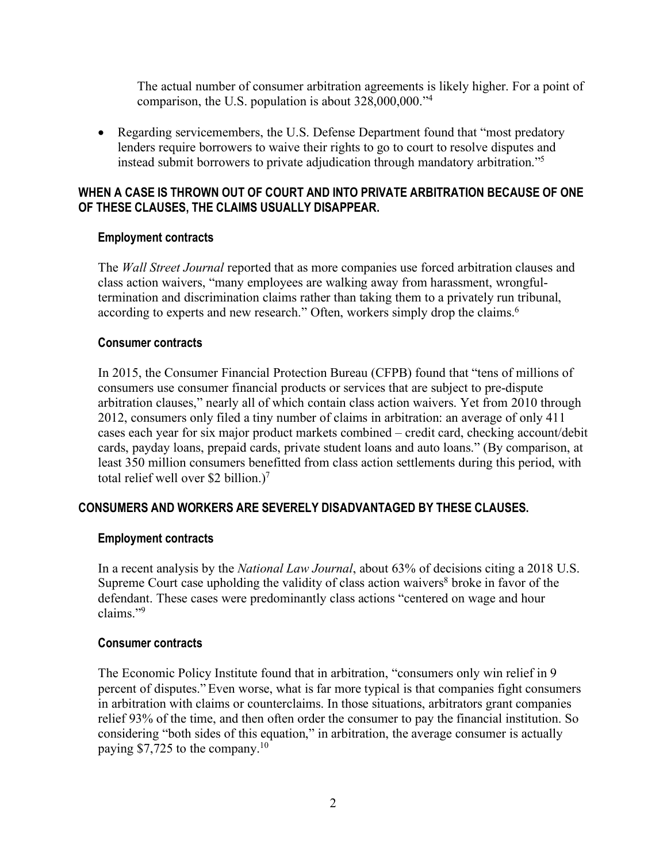The actual number of consumer arbitration agreements is likely higher. For a point of comparison, the U.S. population is about 328,000,000."4

• Regarding servicemembers, the U.S. Defense Department found that "most predatory" lenders require borrowers to waive their rights to go to court to resolve disputes and instead submit borrowers to private adjudication through mandatory arbitration."5

## **WHEN A CASE IS THROWN OUT OF COURT AND INTO PRIVATE ARBITRATION BECAUSE OF ONE OF THESE CLAUSES, THE CLAIMS USUALLY DISAPPEAR.**

## **Employment contracts**

The *Wall Street Journal* reported that as more companies use forced arbitration clauses and class action waivers, "many employees are walking away from harassment, wrongfultermination and discrimination claims rather than taking them to a privately run tribunal, according to experts and new research." Often, workers simply drop the claims.<sup>6</sup>

#### **Consumer contracts**

In 2015, the Consumer Financial Protection Bureau (CFPB) found that "tens of millions of consumers use consumer financial products or services that are subject to pre-dispute arbitration clauses," nearly all of which contain class action waivers. Yet from 2010 through 2012, consumers only filed a tiny number of claims in arbitration: an average of only 411 cases each year for six major product markets combined – credit card, checking account/debit cards, payday loans, prepaid cards, private student loans and auto loans." (By comparison, at least 350 million consumers benefitted from class action settlements during this period, with total relief well over \$2 billion.)7

# **CONSUMERS AND WORKERS ARE SEVERELY DISADVANTAGED BY THESE CLAUSES.**

#### **Employment contracts**

In a recent analysis by the *National Law Journal*, about 63% of decisions citing a 2018 U.S. Supreme Court case upholding the validity of class action waivers<sup>8</sup> broke in favor of the defendant. These cases were predominantly class actions "centered on wage and hour claims."9

#### **Consumer contracts**

The Economic Policy Institute found that in arbitration, "consumers only win relief in 9 percent of disputes." Even worse, what is far more typical is that companies fight consumers in arbitration with claims or counterclaims. In those situations, arbitrators grant companies relief 93% of the time, and then often order the consumer to pay the financial institution. So considering "both sides of this equation," in arbitration, the average consumer is actually paying \$7,725 to the company.10